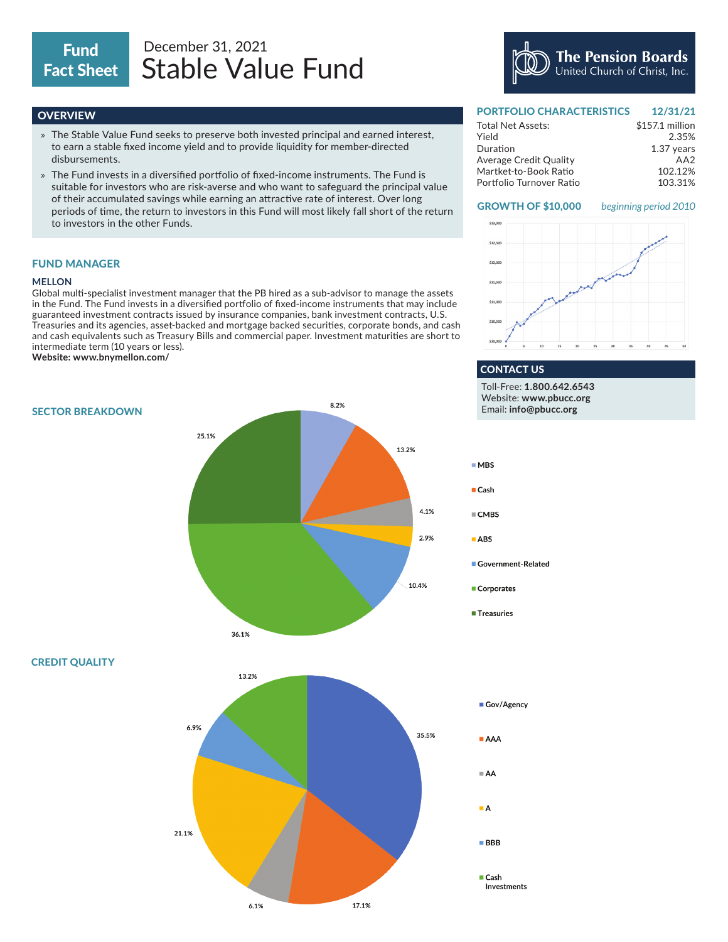# Fact Sheet

## Stable Value Fund Fund December 31, 2021

### **OVERVIEW**

- » The Stable Value Fund seeks to preserve both invested principal and earned interest, to earn a stable fixed income yield and to provide liquidity for member-directed disbursements.
- » The Fund invests in a diversified portfolio of fixed-income instruments. The Fund is suitable for investors who are risk-averse and who want to safeguard the principal value of their accumulated savings while earning an attractive rate of interest. Over long periods of time, the return to investors in this Fund will most likely fall short of the return to investors in the other Funds.

#### FUND MANAGER

#### **MELLON**

Global multi-specialist investment manager that the PB hired as a sub-advisor to manage the assets in the Fund. The Fund invests in a diversified portfolio of fixed-income instruments that may include guaranteed investment contracts issued by insurance companies, bank investment contracts, U.S. Treasuries and its agencies, asset-backed and mortgage backed securities, corporate bonds, and cash and cash equivalents such as Treasury Bills and commercial paper. Investment maturities are short to intermediate term (10 years or less).

**Website: www.bnymellon.com/**

8.2% SECTOR BREAKDOWN 25.1% 13.2%  $MBS$  $\blacksquare$  Cash 4.1%  $\blacksquare$  CMBS 2.9%  $ABS$ 10.4% 36.1% 13.2% Gov/Agency 6.9% 35.5%  $AAA$  $A = A$  $\blacksquare$  A 21.1%  $\blacksquare$  BBB

6.1%

17.1%

PORTFOLIO CHARACTERISTICS 12/21/21

The Pension Boards<br>United Church of Christ, Inc.

| <b>FUNIFULIU GHANACTENDHICJ</b> | 12191121        |
|---------------------------------|-----------------|
| <b>Total Net Assets:</b>        | \$157.1 million |
| Yield                           | 2.35%           |
| Duration                        | 1.37 years      |
| <b>Average Credit Quality</b>   | AA <sub>2</sub> |
| Martket-to-Book Ratio           | 102.12%         |
| Portfolio Turnover Ratio        | 103.31%         |

#### GROWTH OF \$10,000 *beginning period 2010*



#### CONTACT US Toll-Free: **1.800.642.6543**

Website: **www.pbucc.org** Email: **info@pbucc.org**

Government-Related

- Corporates
- Treasuries

 $\blacksquare$  Cash Investments

CREDIT QUALITY